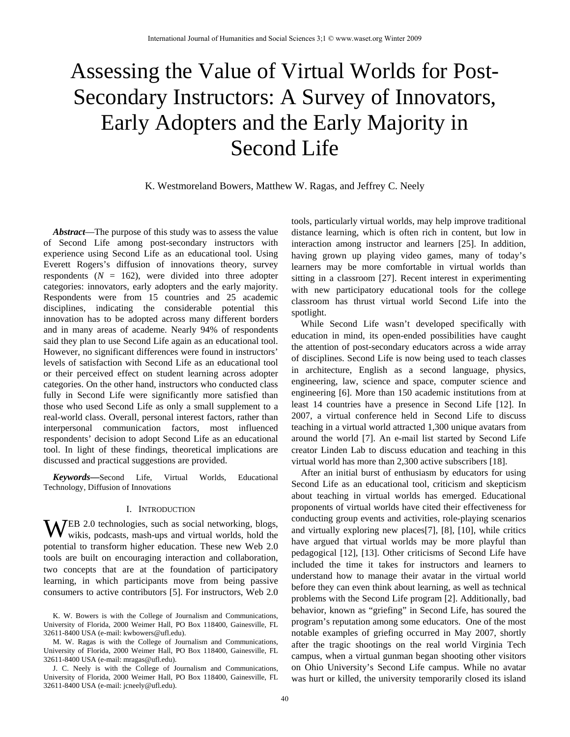# Assessing the Value of Virtual Worlds for Post-Secondary Instructors: A Survey of Innovators, Early Adopters and the Early Majority in Second Life

K. Westmoreland Bowers, Matthew W. Ragas, and Jeffrey C. Neely

*Abstract*—The purpose of this study was to assess the value of Second Life among post-secondary instructors with experience using Second Life as an educational tool. Using Everett Rogers's diffusion of innovations theory, survey respondents  $(N = 162)$ , were divided into three adopter categories: innovators, early adopters and the early majority. Respondents were from 15 countries and 25 academic disciplines, indicating the considerable potential this innovation has to be adopted across many different borders and in many areas of academe. Nearly 94% of respondents said they plan to use Second Life again as an educational tool. However, no significant differences were found in instructors' levels of satisfaction with Second Life as an educational tool or their perceived effect on student learning across adopter categories. On the other hand, instructors who conducted class fully in Second Life were significantly more satisfied than those who used Second Life as only a small supplement to a real-world class. Overall, personal interest factors, rather than interpersonal communication factors, most influenced respondents' decision to adopt Second Life as an educational tool. In light of these findings, theoretical implications are discussed and practical suggestions are provided.

*Keywords***—**Second Life, Virtual Worlds, Educational Technology, Diffusion of Innovations

#### I. INTRODUCTION

WEB 2.0 technologies, such as social networking, blogs, wikis, podcasts, mash-ups and virtual worlds, hold the wikis, podcasts, mash-ups and virtual worlds, hold the potential to transform higher education. These new Web 2.0 tools are built on encouraging interaction and collaboration, two concepts that are at the foundation of participatory learning, in which participants move from being passive consumers to active contributors [5]. For instructors, Web 2.0

K. W. Bowers is with the College of Journalism and Communications, University of Florida, 2000 Weimer Hall, PO Box 118400, Gainesville, FL 32611-8400 USA (e-mail: kwbowers@ufl.edu).

M. W. Ragas is with the College of Journalism and Communications, University of Florida, 2000 Weimer Hall, PO Box 118400, Gainesville, FL 32611-8400 USA (e-mail: mragas@ufl.edu).

J. C. Neely is with the College of Journalism and Communications, University of Florida, 2000 Weimer Hall, PO Box 118400, Gainesville, FL 32611-8400 USA (e-mail: jcneely@ufl.edu).

tools, particularly virtual worlds, may help improve traditional distance learning, which is often rich in content, but low in interaction among instructor and learners [25]. In addition, having grown up playing video games, many of today's learners may be more comfortable in virtual worlds than sitting in a classroom [27]. Recent interest in experimenting with new participatory educational tools for the college classroom has thrust virtual world Second Life into the spotlight.

While Second Life wasn't developed specifically with education in mind, its open-ended possibilities have caught the attention of post-secondary educators across a wide array of disciplines. Second Life is now being used to teach classes in architecture, English as a second language, physics, engineering, law, science and space, computer science and engineering [6]. More than 150 academic institutions from at least 14 countries have a presence in Second Life [12]. In 2007, a virtual conference held in Second Life to discuss teaching in a virtual world attracted 1,300 unique avatars from around the world [7]. An e-mail list started by Second Life creator Linden Lab to discuss education and teaching in this virtual world has more than 2,300 active subscribers [18].

After an initial burst of enthusiasm by educators for using Second Life as an educational tool, criticism and skepticism about teaching in virtual worlds has emerged. Educational proponents of virtual worlds have cited their effectiveness for conducting group events and activities, role-playing scenarios and virtually exploring new places[7], [8], [10], while critics have argued that virtual worlds may be more playful than pedagogical [12], [13]. Other criticisms of Second Life have included the time it takes for instructors and learners to understand how to manage their avatar in the virtual world before they can even think about learning, as well as technical problems with the Second Life program [2]. Additionally, bad behavior, known as "griefing" in Second Life, has soured the program's reputation among some educators. One of the most notable examples of griefing occurred in May 2007, shortly after the tragic shootings on the real world Virginia Tech campus, when a virtual gunman began shooting other visitors on Ohio University's Second Life campus. While no avatar was hurt or killed, the university temporarily closed its island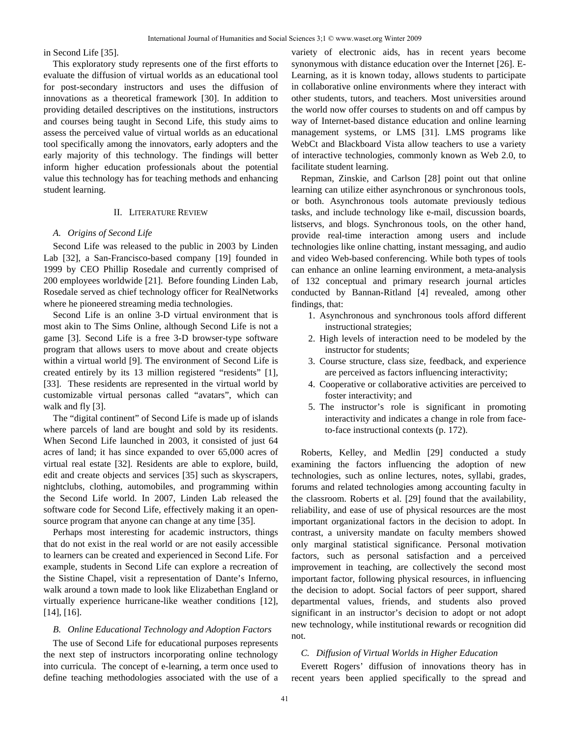in Second Life [35].

This exploratory study represents one of the first efforts to evaluate the diffusion of virtual worlds as an educational tool for post-secondary instructors and uses the diffusion of innovations as a theoretical framework [30]. In addition to providing detailed descriptives on the institutions, instructors and courses being taught in Second Life, this study aims to assess the perceived value of virtual worlds as an educational tool specifically among the innovators, early adopters and the early majority of this technology. The findings will better inform higher education professionals about the potential value this technology has for teaching methods and enhancing student learning.

#### II. LITERATURE REVIEW

#### *A. Origins of Second Life*

Second Life was released to the public in 2003 by Linden Lab [32], a San-Francisco-based company [19] founded in 1999 by CEO Phillip Rosedale and currently comprised of 200 employees worldwide [21]. Before founding Linden Lab, Rosedale served as chief technology officer for RealNetworks where he pioneered streaming media technologies.

Second Life is an online 3-D virtual environment that is most akin to The Sims Online, although Second Life is not a game [3]. Second Life is a free 3-D browser-type software program that allows users to move about and create objects within a virtual world [9]. The environment of Second Life is created entirely by its 13 million registered "residents" [1], [33]. These residents are represented in the virtual world by customizable virtual personas called "avatars", which can walk and fly [3].

The "digital continent" of Second Life is made up of islands where parcels of land are bought and sold by its residents. When Second Life launched in 2003, it consisted of just 64 acres of land; it has since expanded to over 65,000 acres of virtual real estate [32]. Residents are able to explore, build, edit and create objects and services [35] such as skyscrapers, nightclubs, clothing, automobiles, and programming within the Second Life world. In 2007, Linden Lab released the software code for Second Life, effectively making it an opensource program that anyone can change at any time [35].

Perhaps most interesting for academic instructors, things that do not exist in the real world or are not easily accessible to learners can be created and experienced in Second Life. For example, students in Second Life can explore a recreation of the Sistine Chapel, visit a representation of Dante's Inferno, walk around a town made to look like Elizabethan England or virtually experience hurricane-like weather conditions [12], [14], [16].

## *B. Online Educational Technology and Adoption Factors*

The use of Second Life for educational purposes represents the next step of instructors incorporating online technology into curricula. The concept of e-learning, a term once used to define teaching methodologies associated with the use of a variety of electronic aids, has in recent years become synonymous with distance education over the Internet [26]. E-Learning, as it is known today, allows students to participate in collaborative online environments where they interact with other students, tutors, and teachers. Most universities around the world now offer courses to students on and off campus by way of Internet-based distance education and online learning management systems, or LMS [31]. LMS programs like WebCt and Blackboard Vista allow teachers to use a variety of interactive technologies, commonly known as Web 2.0, to facilitate student learning.

Repman, Zinskie, and Carlson [28] point out that online learning can utilize either asynchronous or synchronous tools, or both. Asynchronous tools automate previously tedious tasks, and include technology like e-mail, discussion boards, listservs, and blogs. Synchronous tools, on the other hand, provide real-time interaction among users and include technologies like online chatting, instant messaging, and audio and video Web-based conferencing. While both types of tools can enhance an online learning environment, a meta-analysis of 132 conceptual and primary research journal articles conducted by Bannan-Ritland [4] revealed, among other findings, that:

- 1. Asynchronous and synchronous tools afford different instructional strategies;
- 2. High levels of interaction need to be modeled by the instructor for students;
- 3. Course structure, class size, feedback, and experience are perceived as factors influencing interactivity;
- 4. Cooperative or collaborative activities are perceived to foster interactivity; and
- 5. The instructor's role is significant in promoting interactivity and indicates a change in role from faceto-face instructional contexts (p. 172).

Roberts, Kelley, and Medlin [29] conducted a study examining the factors influencing the adoption of new technologies, such as online lectures, notes, syllabi, grades, forums and related technologies among accounting faculty in the classroom. Roberts et al. [29] found that the availability, reliability, and ease of use of physical resources are the most important organizational factors in the decision to adopt. In contrast, a university mandate on faculty members showed only marginal statistical significance. Personal motivation factors, such as personal satisfaction and a perceived improvement in teaching, are collectively the second most important factor, following physical resources, in influencing the decision to adopt. Social factors of peer support, shared departmental values, friends, and students also proved significant in an instructor's decision to adopt or not adopt new technology, while institutional rewards or recognition did not.

#### *C. Diffusion of Virtual Worlds in Higher Education*

Everett Rogers' diffusion of innovations theory has in recent years been applied specifically to the spread and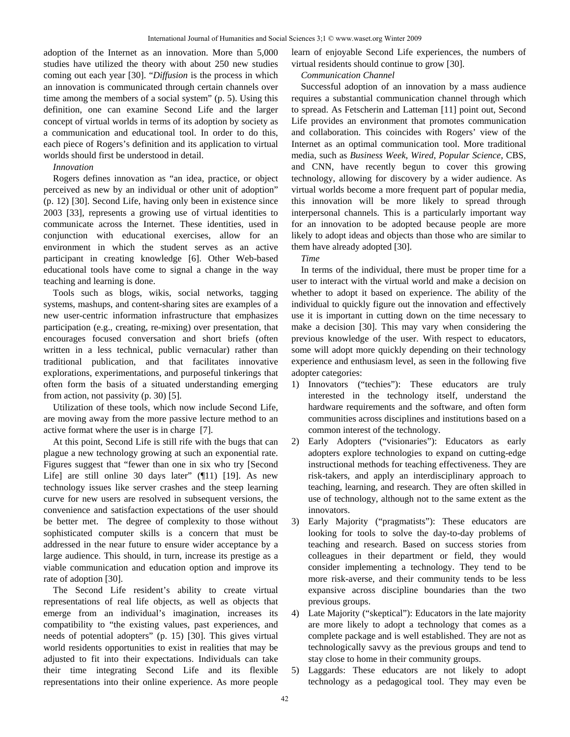adoption of the Internet as an innovation. More than 5,000 studies have utilized the theory with about 250 new studies coming out each year [30]. "*Diffusion* is the process in which an innovation is communicated through certain channels over time among the members of a social system" (p. 5). Using this definition, one can examine Second Life and the larger concept of virtual worlds in terms of its adoption by society as a communication and educational tool. In order to do this, each piece of Rogers's definition and its application to virtual worlds should first be understood in detail.

*Innovation* 

Rogers defines innovation as "an idea, practice, or object perceived as new by an individual or other unit of adoption" (p. 12) [30]. Second Life, having only been in existence since 2003 [33], represents a growing use of virtual identities to communicate across the Internet. These identities, used in conjunction with educational exercises, allow for an environment in which the student serves as an active participant in creating knowledge [6]. Other Web-based educational tools have come to signal a change in the way teaching and learning is done.

Tools such as blogs, wikis, social networks, tagging systems, mashups, and content-sharing sites are examples of a new user-centric information infrastructure that emphasizes participation (e.g., creating, re-mixing) over presentation, that encourages focused conversation and short briefs (often written in a less technical, public vernacular) rather than traditional publication, and that facilitates innovative explorations, experimentations, and purposeful tinkerings that often form the basis of a situated understanding emerging from action, not passivity (p. 30) [5].

Utilization of these tools, which now include Second Life, are moving away from the more passive lecture method to an active format where the user is in charge [7].

At this point, Second Life is still rife with the bugs that can plague a new technology growing at such an exponential rate. Figures suggest that "fewer than one in six who try [Second Life] are still online 30 days later" (¶11) [19]. As new technology issues like server crashes and the steep learning curve for new users are resolved in subsequent versions, the convenience and satisfaction expectations of the user should be better met. The degree of complexity to those without sophisticated computer skills is a concern that must be addressed in the near future to ensure wider acceptance by a large audience. This should, in turn, increase its prestige as a viable communication and education option and improve its rate of adoption [30].

The Second Life resident's ability to create virtual representations of real life objects, as well as objects that emerge from an individual's imagination, increases its compatibility to "the existing values, past experiences, and needs of potential adopters" (p. 15) [30]. This gives virtual world residents opportunities to exist in realities that may be adjusted to fit into their expectations. Individuals can take their time integrating Second Life and its flexible representations into their online experience. As more people learn of enjoyable Second Life experiences, the numbers of virtual residents should continue to grow [30].

*Communication Channel* 

Successful adoption of an innovation by a mass audience requires a substantial communication channel through which to spread. As Fetscherin and Latteman [11] point out, Second Life provides an environment that promotes communication and collaboration. This coincides with Rogers' view of the Internet as an optimal communication tool. More traditional media, such as *Business Week*, *Wired*, *Popular Science*, CBS, and CNN, have recently begun to cover this growing technology, allowing for discovery by a wider audience. As virtual worlds become a more frequent part of popular media, this innovation will be more likely to spread through interpersonal channels. This is a particularly important way for an innovation to be adopted because people are more likely to adopt ideas and objects than those who are similar to them have already adopted [30].

*Time* 

In terms of the individual, there must be proper time for a user to interact with the virtual world and make a decision on whether to adopt it based on experience. The ability of the individual to quickly figure out the innovation and effectively use it is important in cutting down on the time necessary to make a decision [30]. This may vary when considering the previous knowledge of the user. With respect to educators, some will adopt more quickly depending on their technology experience and enthusiasm level, as seen in the following five adopter categories:

- 1) Innovators ("techies"): These educators are truly interested in the technology itself, understand the hardware requirements and the software, and often form communities across disciplines and institutions based on a common interest of the technology.
- 2) Early Adopters ("visionaries"): Educators as early adopters explore technologies to expand on cutting-edge instructional methods for teaching effectiveness. They are risk-takers, and apply an interdisciplinary approach to teaching, learning, and research. They are often skilled in use of technology, although not to the same extent as the innovators.
- 3) Early Majority ("pragmatists"): These educators are looking for tools to solve the day-to-day problems of teaching and research. Based on success stories from colleagues in their department or field, they would consider implementing a technology. They tend to be more risk-averse, and their community tends to be less expansive across discipline boundaries than the two previous groups.
- 4) Late Majority ("skeptical"): Educators in the late majority are more likely to adopt a technology that comes as a complete package and is well established. They are not as technologically savvy as the previous groups and tend to stay close to home in their community groups.
- 5) Laggards: These educators are not likely to adopt technology as a pedagogical tool. They may even be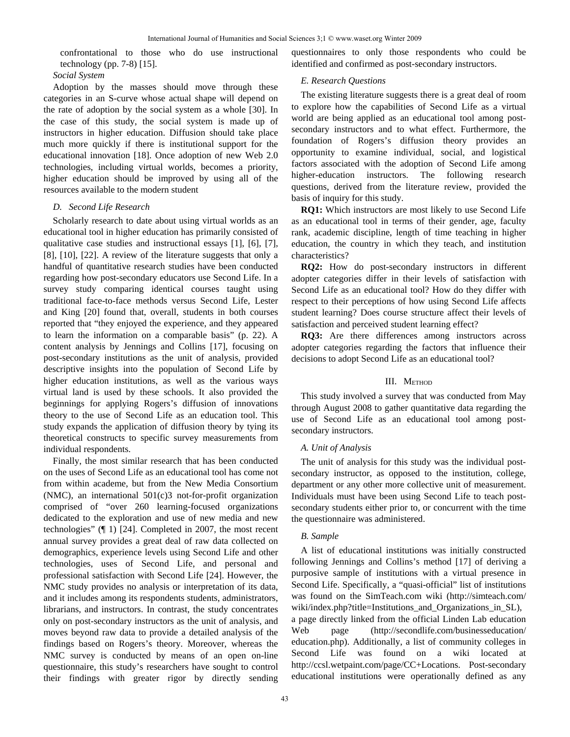confrontational to those who do use instructional technology (pp. 7-8) [15].

*Social System*

Adoption by the masses should move through these categories in an S-curve whose actual shape will depend on the rate of adoption by the social system as a whole [30]. In the case of this study, the social system is made up of instructors in higher education. Diffusion should take place much more quickly if there is institutional support for the educational innovation [18]. Once adoption of new Web 2.0 technologies, including virtual worlds, becomes a priority, higher education should be improved by using all of the resources available to the modern student

## *D. Second Life Research*

Scholarly research to date about using virtual worlds as an educational tool in higher education has primarily consisted of qualitative case studies and instructional essays [1], [6], [7], [8], [10], [22]. A review of the literature suggests that only a handful of quantitative research studies have been conducted regarding how post-secondary educators use Second Life. In a survey study comparing identical courses taught using traditional face-to-face methods versus Second Life, Lester and King [20] found that, overall, students in both courses reported that "they enjoyed the experience, and they appeared to learn the information on a comparable basis" (p. 22). A content analysis by Jennings and Collins [17], focusing on post-secondary institutions as the unit of analysis, provided descriptive insights into the population of Second Life by higher education institutions, as well as the various ways virtual land is used by these schools. It also provided the beginnings for applying Rogers's diffusion of innovations theory to the use of Second Life as an education tool. This study expands the application of diffusion theory by tying its theoretical constructs to specific survey measurements from individual respondents.

Finally, the most similar research that has been conducted on the uses of Second Life as an educational tool has come not from within academe, but from the New Media Consortium (NMC), an international 501(c)3 not-for-profit organization comprised of "over 260 learning-focused organizations dedicated to the exploration and use of new media and new technologies" (¶ 1) [24]. Completed in 2007, the most recent annual survey provides a great deal of raw data collected on demographics, experience levels using Second Life and other technologies, uses of Second Life, and personal and professional satisfaction with Second Life [24]. However, the NMC study provides no analysis or interpretation of its data, and it includes among its respondents students, administrators, librarians, and instructors. In contrast, the study concentrates only on post-secondary instructors as the unit of analysis, and moves beyond raw data to provide a detailed analysis of the findings based on Rogers's theory. Moreover, whereas the NMC survey is conducted by means of an open on-line questionnaire, this study's researchers have sought to control their findings with greater rigor by directly sending questionnaires to only those respondents who could be identified and confirmed as post-secondary instructors.

# *E. Research Questions*

The existing literature suggests there is a great deal of room to explore how the capabilities of Second Life as a virtual world are being applied as an educational tool among postsecondary instructors and to what effect. Furthermore, the foundation of Rogers's diffusion theory provides an opportunity to examine individual, social, and logistical factors associated with the adoption of Second Life among higher-education instructors. The following research questions, derived from the literature review, provided the basis of inquiry for this study.

**RQ1:** Which instructors are most likely to use Second Life as an educational tool in terms of their gender, age, faculty rank, academic discipline, length of time teaching in higher education, the country in which they teach, and institution characteristics?

**RQ2:** How do post-secondary instructors in different adopter categories differ in their levels of satisfaction with Second Life as an educational tool? How do they differ with respect to their perceptions of how using Second Life affects student learning? Does course structure affect their levels of satisfaction and perceived student learning effect?

**RQ3:** Are there differences among instructors across adopter categories regarding the factors that influence their decisions to adopt Second Life as an educational tool?

# III. METHOD

This study involved a survey that was conducted from May through August 2008 to gather quantitative data regarding the use of Second Life as an educational tool among postsecondary instructors.

# *A. Unit of Analysis*

The unit of analysis for this study was the individual postsecondary instructor, as opposed to the institution, college, department or any other more collective unit of measurement. Individuals must have been using Second Life to teach postsecondary students either prior to, or concurrent with the time the questionnaire was administered.

# *B. Sample*

A list of educational institutions was initially constructed following Jennings and Collins's method [17] of deriving a purposive sample of institutions with a virtual presence in Second Life. Specifically, a "quasi-official" list of institutions was found on the SimTeach.com wiki (http://simteach.com/ wiki/index.php?title=Institutions\_and\_Organizations\_in\_SL), a page directly linked from the official Linden Lab education Web page (http://secondlife.com/businesseducation/ education.php). Additionally, a list of community colleges in Second Life was found on a wiki located at http://ccsl.wetpaint.com/page/CC+Locations. Post-secondary educational institutions were operationally defined as any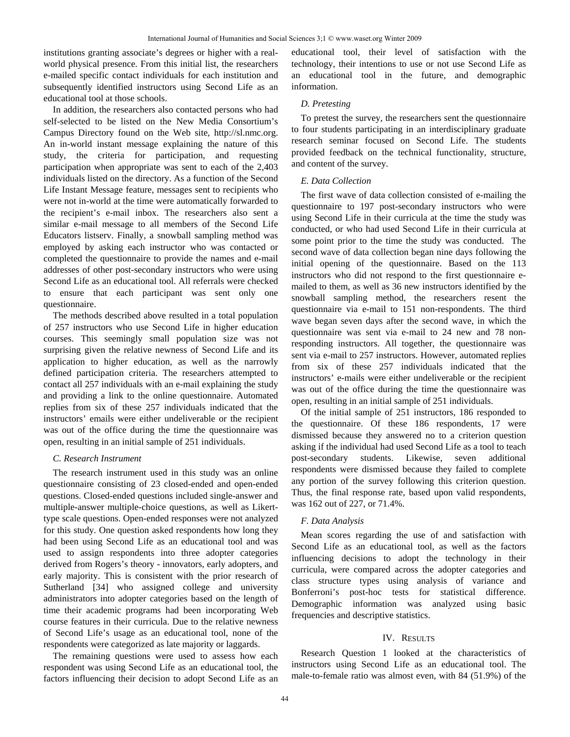institutions granting associate's degrees or higher with a realworld physical presence. From this initial list, the researchers e-mailed specific contact individuals for each institution and subsequently identified instructors using Second Life as an educational tool at those schools.

In addition, the researchers also contacted persons who had self-selected to be listed on the New Media Consortium's Campus Directory found on the Web site, http://sl.nmc.org. An in-world instant message explaining the nature of this study, the criteria for participation, and requesting participation when appropriate was sent to each of the 2,403 individuals listed on the directory. As a function of the Second Life Instant Message feature, messages sent to recipients who were not in-world at the time were automatically forwarded to the recipient's e-mail inbox. The researchers also sent a similar e-mail message to all members of the Second Life Educators listserv. Finally, a snowball sampling method was employed by asking each instructor who was contacted or completed the questionnaire to provide the names and e-mail addresses of other post-secondary instructors who were using Second Life as an educational tool. All referrals were checked to ensure that each participant was sent only one questionnaire.

The methods described above resulted in a total population of 257 instructors who use Second Life in higher education courses. This seemingly small population size was not surprising given the relative newness of Second Life and its application to higher education, as well as the narrowly defined participation criteria. The researchers attempted to contact all 257 individuals with an e-mail explaining the study and providing a link to the online questionnaire. Automated replies from six of these 257 individuals indicated that the instructors' emails were either undeliverable or the recipient was out of the office during the time the questionnaire was open, resulting in an initial sample of 251 individuals.

## *C. Research Instrument*

The research instrument used in this study was an online questionnaire consisting of 23 closed-ended and open-ended questions. Closed-ended questions included single-answer and multiple-answer multiple-choice questions, as well as Likerttype scale questions. Open-ended responses were not analyzed for this study. One question asked respondents how long they had been using Second Life as an educational tool and was used to assign respondents into three adopter categories derived from Rogers's theory - innovators, early adopters, and early majority. This is consistent with the prior research of Sutherland [34] who assigned college and university administrators into adopter categories based on the length of time their academic programs had been incorporating Web course features in their curricula. Due to the relative newness of Second Life's usage as an educational tool, none of the respondents were categorized as late majority or laggards.

The remaining questions were used to assess how each respondent was using Second Life as an educational tool, the factors influencing their decision to adopt Second Life as an educational tool, their level of satisfaction with the technology, their intentions to use or not use Second Life as an educational tool in the future, and demographic information.

## *D. Pretesting*

To pretest the survey, the researchers sent the questionnaire to four students participating in an interdisciplinary graduate research seminar focused on Second Life. The students provided feedback on the technical functionality, structure, and content of the survey.

## *E. Data Collection*

The first wave of data collection consisted of e-mailing the questionnaire to 197 post-secondary instructors who were using Second Life in their curricula at the time the study was conducted, or who had used Second Life in their curricula at some point prior to the time the study was conducted. The second wave of data collection began nine days following the initial opening of the questionnaire. Based on the 113 instructors who did not respond to the first questionnaire emailed to them, as well as 36 new instructors identified by the snowball sampling method, the researchers resent the questionnaire via e-mail to 151 non-respondents. The third wave began seven days after the second wave, in which the questionnaire was sent via e-mail to 24 new and 78 nonresponding instructors. All together, the questionnaire was sent via e-mail to 257 instructors. However, automated replies from six of these 257 individuals indicated that the instructors' e-mails were either undeliverable or the recipient was out of the office during the time the questionnaire was open, resulting in an initial sample of 251 individuals.

Of the initial sample of 251 instructors, 186 responded to the questionnaire. Of these 186 respondents, 17 were dismissed because they answered no to a criterion question asking if the individual had used Second Life as a tool to teach post-secondary students. Likewise, seven additional respondents were dismissed because they failed to complete any portion of the survey following this criterion question. Thus, the final response rate, based upon valid respondents, was 162 out of 227, or 71.4%.

# *F. Data Analysis*

Mean scores regarding the use of and satisfaction with Second Life as an educational tool, as well as the factors influencing decisions to adopt the technology in their curricula, were compared across the adopter categories and class structure types using analysis of variance and Bonferroni's post-hoc tests for statistical difference. Demographic information was analyzed using basic frequencies and descriptive statistics.

## IV. RESULTS

Research Question 1 looked at the characteristics of instructors using Second Life as an educational tool. The male-to-female ratio was almost even, with 84 (51.9%) of the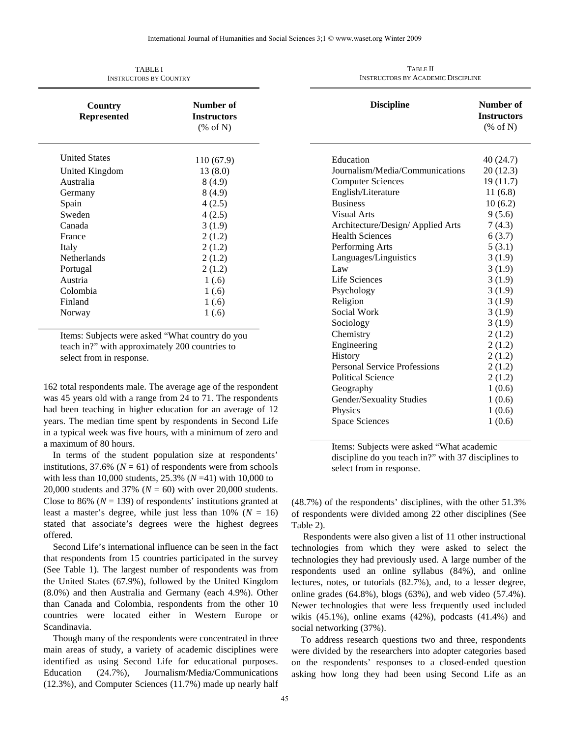| I ADLE I<br><b>INSTRUCTORS BY COUNTRY</b> |                                                        |  |
|-------------------------------------------|--------------------------------------------------------|--|
| Country<br><b>Represented</b>             | Number of<br><b>Instructors</b><br>$(\% \text{ of N})$ |  |
| <b>United States</b>                      | 110 (67.9)                                             |  |
| United Kingdom                            | 13 (8.0)                                               |  |
| Australia                                 | 8(4.9)                                                 |  |
| Germany                                   | 8(4.9)                                                 |  |
| Spain                                     | 4(2.5)                                                 |  |
| Sweden                                    | 4(2.5)                                                 |  |
| Canada                                    | 3(1.9)                                                 |  |
| France                                    | 2(1.2)                                                 |  |
| Italy                                     | 2(1.2)                                                 |  |
| <b>Netherlands</b>                        | 2(1.2)                                                 |  |
| Portugal                                  | 2(1.2)                                                 |  |
| Austria                                   | 1(.6)                                                  |  |
| Colombia                                  | 1(.6)                                                  |  |
| Finland                                   | 1(.6)                                                  |  |
| Norway                                    | 1(0.6)                                                 |  |
|                                           |                                                        |  |

TABLE I

Items: Subjects were asked "What country do you teach in?" with approximately 200 countries to select from in response.

162 total respondents male. The average age of the respondent was 45 years old with a range from 24 to 71. The respondents had been teaching in higher education for an average of 12 years. The median time spent by respondents in Second Life in a typical week was five hours, with a minimum of zero and a maximum of 80 hours.

In terms of the student population size at respondents' institutions,  $37.6\%$  ( $N = 61$ ) of respondents were from schools with less than 10,000 students, 25.3% (*N* =41) with 10,000 to 20,000 students and 37% (*N* = 60) with over 20,000 students. Close to 86% ( $N = 139$ ) of respondents' institutions granted at least a master's degree, while just less than  $10\%$  ( $N = 16$ ) stated that associate's degrees were the highest degrees offered.

Second Life's international influence can be seen in the fact that respondents from 15 countries participated in the survey (See Table 1). The largest number of respondents was from the United States (67.9%), followed by the United Kingdom (8.0%) and then Australia and Germany (each 4.9%). Other than Canada and Colombia, respondents from the other 10 countries were located either in Western Europe or Scandinavia.

Though many of the respondents were concentrated in three main areas of study, a variety of academic disciplines were identified as using Second Life for educational purposes. Education (24.7%), Journalism/Media/Communications (12.3%), and Computer Sciences (11.7%) made up nearly half

| <b>Discipline</b>                   | Number of<br><b>Instructors</b><br>$(\% \text{ of N})$ |
|-------------------------------------|--------------------------------------------------------|
| Education                           | 40 (24.7)                                              |
| Journalism/Media/Communications     | 20(12.3)                                               |
| <b>Computer Sciences</b>            | 19(11.7)                                               |
| English/Literature                  | 11(6.8)                                                |
| <b>Business</b>                     | 10(6.2)                                                |
| <b>Visual Arts</b>                  | 9(5.6)                                                 |
| Architecture/Design/ Applied Arts   | 7(4.3)                                                 |
| <b>Health Sciences</b>              | 6(3.7)                                                 |
| Performing Arts                     | 5(3.1)                                                 |
| Languages/Linguistics               | 3(1.9)                                                 |
| Law                                 | 3(1.9)                                                 |
| Life Sciences                       | 3(1.9)                                                 |
| Psychology                          | 3(1.9)                                                 |
| Religion                            | 3(1.9)                                                 |
| Social Work                         | 3(1.9)                                                 |
| Sociology                           | 3(1.9)                                                 |
| Chemistry                           | 2(1.2)                                                 |
| Engineering                         | 2(1.2)                                                 |
| History                             | 2(1.2)                                                 |
| <b>Personal Service Professions</b> | 2(1.2)                                                 |
| <b>Political Science</b>            | 2(1.2)                                                 |
| Geography                           | 1(0.6)                                                 |
| Gender/Sexuality Studies            | 1(0.6)                                                 |
| Physics                             | 1(0.6)                                                 |
| <b>Space Sciences</b>               | 1(0.6)                                                 |

TABLE II INSTRUCTORS BY ACADEMIC DISCIPLINE

Items: Subjects were asked "What academic discipline do you teach in?" with 37 disciplines to select from in response.

(48.7%) of the respondents' disciplines, with the other 51.3% of respondents were divided among 22 other disciplines (See Table 2).

 Respondents were also given a list of 11 other instructional technologies from which they were asked to select the technologies they had previously used. A large number of the respondents used an online syllabus (84%), and online lectures, notes, or tutorials (82.7%), and, to a lesser degree, online grades (64.8%), blogs (63%), and web video (57.4%). Newer technologies that were less frequently used included wikis  $(45.1\%)$ , online exams  $(42\%)$ , podcasts  $(41.4\%)$  and social networking (37%).

To address research questions two and three, respondents were divided by the researchers into adopter categories based on the respondents' responses to a closed-ended question asking how long they had been using Second Life as an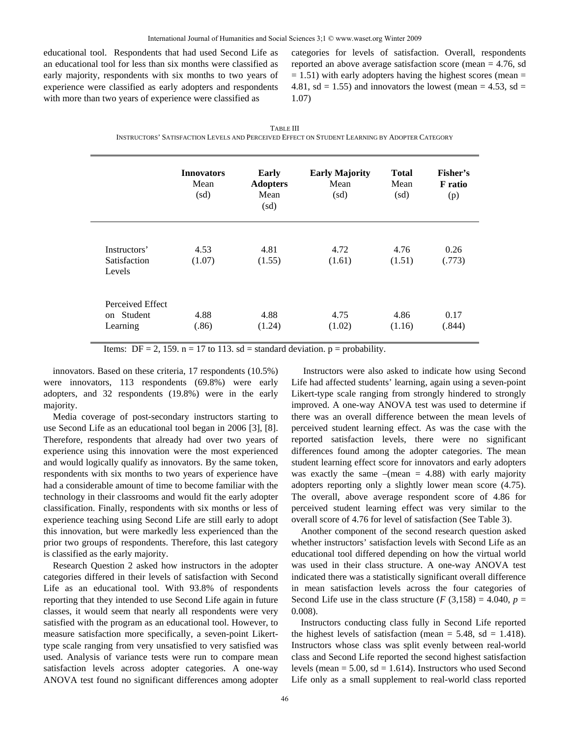educational tool. Respondents that had used Second Life as an educational tool for less than six months were classified as early majority, respondents with six months to two years of experience were classified as early adopters and respondents with more than two years of experience were classified as

categories for levels of satisfaction. Overall, respondents reported an above average satisfaction score (mean = 4.76, sd  $= 1.51$ ) with early adopters having the highest scores (mean  $=$ 4.81, sd = 1.55) and innovators the lowest (mean = 4.53, sd = 1.07)

| <b>TABLE III</b>                                                                              |  |
|-----------------------------------------------------------------------------------------------|--|
| INSTRUCTORS' SATISFACTION LEVELS AND PERCEIVED EFFECT ON STUDENT LEARNING BY ADOPTER CATEGORY |  |

|                                                      | <b>Innovators</b><br>Mean<br>(sd) | <b>Early</b><br><b>Adopters</b><br>Mean<br>(sd) | <b>Early Majority</b><br>Mean<br>(sd) | <b>Total</b><br>Mean<br>(sd) | Fisher's<br><b>F</b> ratio<br>(p) |
|------------------------------------------------------|-----------------------------------|-------------------------------------------------|---------------------------------------|------------------------------|-----------------------------------|
| Instructors'<br><b>Satisfaction</b><br>Levels        | 4.53<br>(1.07)                    | 4.81<br>(1.55)                                  | 4.72<br>(1.61)                        | 4.76<br>(1.51)               | 0.26<br>(.773)                    |
| Perceived Effect<br><b>Student</b><br>on<br>Learning | 4.88<br>(.86)                     | 4.88<br>(1.24)                                  | 4.75<br>(1.02)                        | 4.86<br>(1.16)               | 0.17<br>(.844)                    |

Items: DF = 2, 159. n = 17 to 113. sd = standard deviation.  $p =$  probability.

innovators. Based on these criteria, 17 respondents (10.5%) were innovators, 113 respondents (69.8%) were early adopters, and 32 respondents (19.8%) were in the early majority.

Media coverage of post-secondary instructors starting to use Second Life as an educational tool began in 2006 [3], [8]. Therefore, respondents that already had over two years of experience using this innovation were the most experienced and would logically qualify as innovators. By the same token, respondents with six months to two years of experience have had a considerable amount of time to become familiar with the technology in their classrooms and would fit the early adopter classification. Finally, respondents with six months or less of experience teaching using Second Life are still early to adopt this innovation, but were markedly less experienced than the prior two groups of respondents. Therefore, this last category is classified as the early majority.

Research Question 2 asked how instructors in the adopter categories differed in their levels of satisfaction with Second Life as an educational tool. With 93.8% of respondents reporting that they intended to use Second Life again in future classes, it would seem that nearly all respondents were very satisfied with the program as an educational tool. However, to measure satisfaction more specifically, a seven-point Likerttype scale ranging from very unsatisfied to very satisfied was used. Analysis of variance tests were run to compare mean satisfaction levels across adopter categories. A one-way ANOVA test found no significant differences among adopter

 Instructors were also asked to indicate how using Second Life had affected students' learning, again using a seven-point Likert-type scale ranging from strongly hindered to strongly improved. A one-way ANOVA test was used to determine if there was an overall difference between the mean levels of perceived student learning effect. As was the case with the reported satisfaction levels, there were no significant differences found among the adopter categories. The mean student learning effect score for innovators and early adopters was exactly the same  $-(mean = 4.88)$  with early majority adopters reporting only a slightly lower mean score (4.75). The overall, above average respondent score of 4.86 for perceived student learning effect was very similar to the overall score of 4.76 for level of satisfaction (See Table 3).

Another component of the second research question asked whether instructors' satisfaction levels with Second Life as an educational tool differed depending on how the virtual world was used in their class structure. A one-way ANOVA test indicated there was a statistically significant overall difference in mean satisfaction levels across the four categories of Second Life use in the class structure  $(F(3,158) = 4.040, p =$ 0.008).

Instructors conducting class fully in Second Life reported the highest levels of satisfaction (mean  $= 5.48$ , sd  $= 1.418$ ). Instructors whose class was split evenly between real-world class and Second Life reported the second highest satisfaction levels (mean  $= 5.00$ , sd  $= 1.614$ ). Instructors who used Second Life only as a small supplement to real-world class reported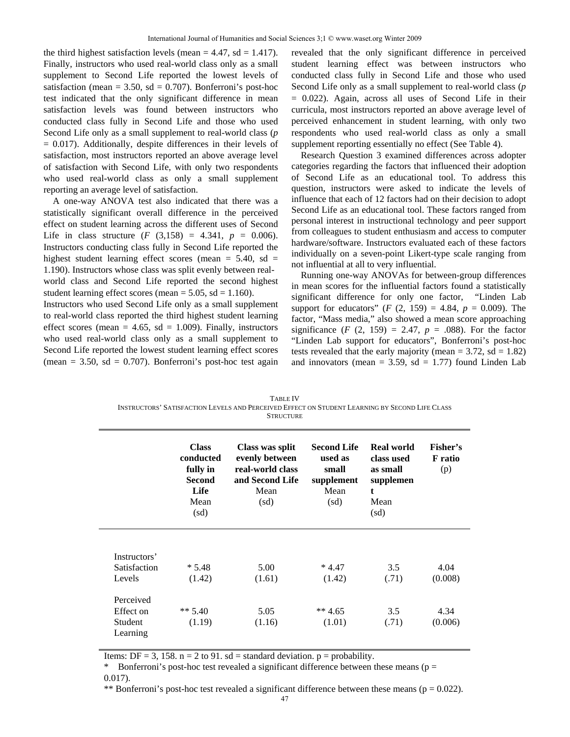the third highest satisfaction levels (mean  $= 4.47$ , sd  $= 1.417$ ). Finally, instructors who used real-world class only as a small supplement to Second Life reported the lowest levels of satisfaction (mean =  $3.50$ , sd =  $0.707$ ). Bonferroni's post-hoc test indicated that the only significant difference in mean satisfaction levels was found between instructors who conducted class fully in Second Life and those who used Second Life only as a small supplement to real-world class (*p*  $= 0.017$ ). Additionally, despite differences in their levels of satisfaction, most instructors reported an above average level of satisfaction with Second Life, with only two respondents who used real-world class as only a small supplement reporting an average level of satisfaction.

A one-way ANOVA test also indicated that there was a statistically significant overall difference in the perceived effect on student learning across the different uses of Second Life in class structure  $(F (3,158) = 4.341, p = 0.006)$ . Instructors conducting class fully in Second Life reported the highest student learning effect scores (mean  $= 5.40$ , sd  $=$ 1.190). Instructors whose class was split evenly between realworld class and Second Life reported the second highest student learning effect scores (mean =  $5.05$ , sd =  $1.160$ ).

Instructors who used Second Life only as a small supplement to real-world class reported the third highest student learning effect scores (mean  $= 4.65$ , sd  $= 1.009$ ). Finally, instructors who used real-world class only as a small supplement to Second Life reported the lowest student learning effect scores (mean  $= 3.50$ , sd  $= 0.707$ ). Bonferroni's post-hoc test again

revealed that the only significant difference in perceived student learning effect was between instructors who conducted class fully in Second Life and those who used Second Life only as a small supplement to real-world class (*p*  $= 0.022$ ). Again, across all uses of Second Life in their curricula, most instructors reported an above average level of perceived enhancement in student learning, with only two respondents who used real-world class as only a small supplement reporting essentially no effect (See Table 4).

Research Question 3 examined differences across adopter categories regarding the factors that influenced their adoption of Second Life as an educational tool. To address this question, instructors were asked to indicate the levels of influence that each of 12 factors had on their decision to adopt Second Life as an educational tool. These factors ranged from personal interest in instructional technology and peer support from colleagues to student enthusiasm and access to computer hardware/software. Instructors evaluated each of these factors individually on a seven-point Likert-type scale ranging from not influential at all to very influential.

Running one-way ANOVAs for between-group differences in mean scores for the influential factors found a statistically significant difference for only one factor, "Linden Lab support for educators" (*F* (2, 159) = 4.84,  $p = 0.009$ ). The factor, "Mass media," also showed a mean score approaching significance  $(F (2, 159) = 2.47, p = .088)$ . For the factor "Linden Lab support for educators", Bonferroni's post-hoc tests revealed that the early majority (mean  $= 3.72$ , sd  $= 1.82$ ) and innovators (mean  $= 3.59$ , sd  $= 1.77$ ) found Linden Lab

| TABLE IV                                                                                       |  |  |
|------------------------------------------------------------------------------------------------|--|--|
| INSTRUCTORS' SATISFACTION LEVELS AND PERCEIVED EFFECT ON STUDENT LEARNING BY SECOND LIFE CLASS |  |  |
| <b>STRUCTURE</b>                                                                               |  |  |

|                                               | <b>Class</b><br>conducted<br>fully in<br><b>Second</b><br>Life<br>Mean<br>(sd) | Class was split<br>evenly between<br>real-world class<br>and Second Life<br>Mean<br>(sd) | <b>Second Life</b><br>used as<br>small<br>supplement<br>Mean<br>(sd) | Real world<br>class used<br>as small<br>supplemen<br>t<br>Mean<br>(sd) | Fisher's<br>F ratio<br>(p) |
|-----------------------------------------------|--------------------------------------------------------------------------------|------------------------------------------------------------------------------------------|----------------------------------------------------------------------|------------------------------------------------------------------------|----------------------------|
| Instructors'<br><b>Satisfaction</b><br>Levels | $*5.48$                                                                        | 5.00                                                                                     | $*4.47$                                                              | 3.5                                                                    | 4.04<br>(0.008)            |
| Perceived<br>Effect on<br>Student<br>Learning | (1.42)<br>** $5.40$<br>(1.19)                                                  | (1.61)<br>5.05<br>(1.16)                                                                 | (1.42)<br>** 4.65<br>(1.01)                                          | (.71)<br>3.5<br>(.71)                                                  | 4.34<br>(0.006)            |

Items: DF = 3, 158.  $n = 2$  to 91. sd = standard deviation.  $p =$  probability.

\* Bonferroni's post-hoc test revealed a significant difference between these means ( $p =$ 0.017).

\*\* Bonferroni's post-hoc test revealed a significant difference between these means ( $p = 0.022$ ).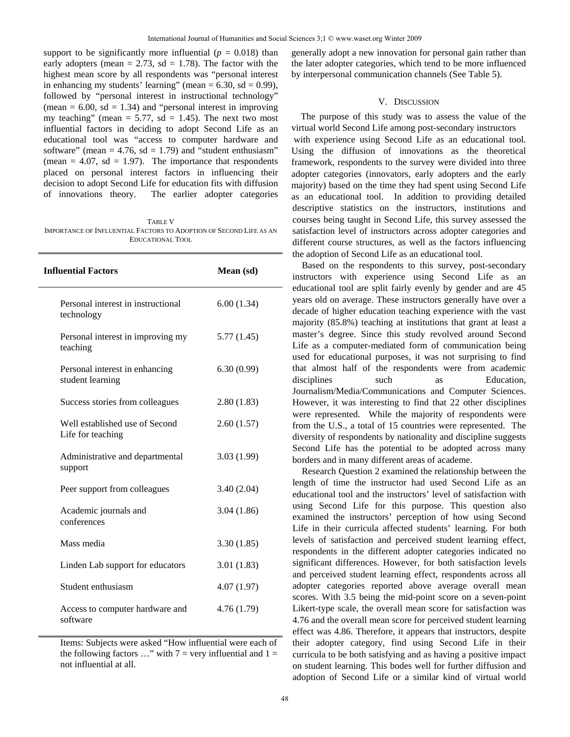support to be significantly more influential  $(p = 0.018)$  than early adopters (mean  $= 2.73$ , sd  $= 1.78$ ). The factor with the highest mean score by all respondents was "personal interest in enhancing my students' learning" (mean  $= 6.30$ , sd  $= 0.99$ ), followed by "personal interest in instructional technology" (mean  $= 6.00$ , sd  $= 1.34$ ) and "personal interest in improving my teaching" (mean =  $5.77$ , sd = 1.45). The next two most influential factors in deciding to adopt Second Life as an educational tool was "access to computer hardware and software" (mean  $= 4.76$ , sd  $= 1.79$ ) and "student enthusiasm" (mean  $= 4.07$ , sd  $= 1.97$ ). The importance that respondents placed on personal interest factors in influencing their decision to adopt Second Life for education fits with diffusion of innovations theory. The earlier adopter categories

TABLE V IMPORTANCE OF INFLUENTIAL FACTORS TO ADOPTION OF SECOND LIFE AS AN EDUCATIONAL TOOL

| <b>Influential Factors</b>                          | Mean (sd)  |
|-----------------------------------------------------|------------|
| Personal interest in instructional<br>technology    | 6.00(1.34) |
| Personal interest in improving my<br>teaching       | 5.77(1.45) |
| Personal interest in enhancing<br>student learning  | 6.30(0.99) |
| Success stories from colleagues                     | 2.80(1.83) |
| Well established use of Second<br>Life for teaching | 2.60(1.57) |
| Administrative and departmental<br>support          | 3.03(1.99) |
| Peer support from colleagues                        | 3.40(2.04) |
| Academic journals and<br>conferences                | 3.04(1.86) |
| Mass media                                          | 3.30(1.85) |
| Linden Lab support for educators                    | 3.01(1.83) |
| Student enthusiasm                                  | 4.07(1.97) |
| Access to computer hardware and<br>software         | 4.76(1.79) |

Items: Subjects were asked "How influential were each of the following factors ..." with  $7 = \text{very influential and } 1 =$ not influential at all.

generally adopt a new innovation for personal gain rather than the later adopter categories, which tend to be more influenced by interpersonal communication channels (See Table 5).

#### V. DISCUSSION

The purpose of this study was to assess the value of the virtual world Second Life among post-secondary instructors with experience using Second Life as an educational tool. Using the diffusion of innovations as the theoretical framework, respondents to the survey were divided into three adopter categories (innovators, early adopters and the early majority) based on the time they had spent using Second Life as an educational tool. In addition to providing detailed descriptive statistics on the instructors, institutions and courses being taught in Second Life, this survey assessed the satisfaction level of instructors across adopter categories and different course structures, as well as the factors influencing the adoption of Second Life as an educational tool.

Based on the respondents to this survey, post-secondary instructors with experience using Second Life as an educational tool are split fairly evenly by gender and are 45 years old on average. These instructors generally have over a decade of higher education teaching experience with the vast majority (85.8%) teaching at institutions that grant at least a master's degree. Since this study revolved around Second Life as a computer-mediated form of communication being used for educational purposes, it was not surprising to find that almost half of the respondents were from academic disciplines such as Education, Journalism/Media/Communications and Computer Sciences. However, it was interesting to find that 22 other disciplines were represented. While the majority of respondents were from the U.S., a total of 15 countries were represented. The diversity of respondents by nationality and discipline suggests Second Life has the potential to be adopted across many borders and in many different areas of academe.

Research Question 2 examined the relationship between the length of time the instructor had used Second Life as an educational tool and the instructors' level of satisfaction with using Second Life for this purpose. This question also examined the instructors' perception of how using Second Life in their curricula affected students' learning. For both levels of satisfaction and perceived student learning effect, respondents in the different adopter categories indicated no significant differences. However, for both satisfaction levels and perceived student learning effect, respondents across all adopter categories reported above average overall mean scores. With 3.5 being the mid-point score on a seven-point Likert-type scale, the overall mean score for satisfaction was 4.76 and the overall mean score for perceived student learning effect was 4.86. Therefore, it appears that instructors, despite their adopter category, find using Second Life in their curricula to be both satisfying and as having a positive impact on student learning. This bodes well for further diffusion and adoption of Second Life or a similar kind of virtual world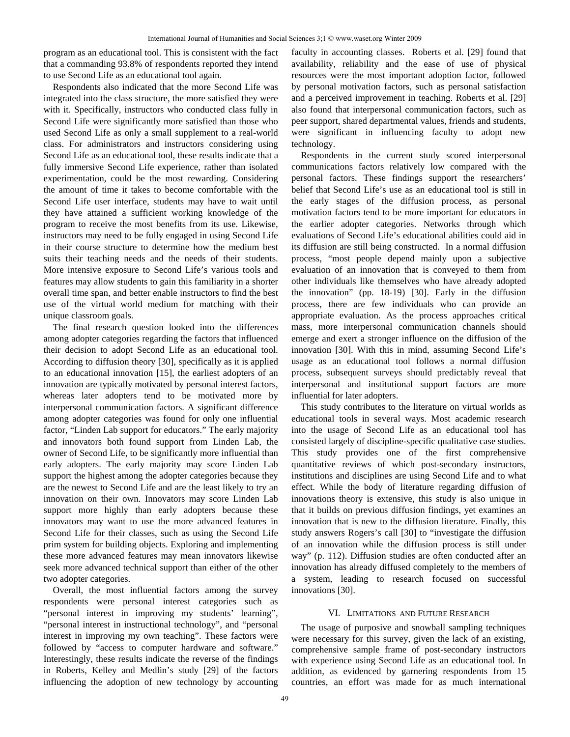program as an educational tool. This is consistent with the fact that a commanding 93.8% of respondents reported they intend to use Second Life as an educational tool again.

Respondents also indicated that the more Second Life was integrated into the class structure, the more satisfied they were with it. Specifically, instructors who conducted class fully in Second Life were significantly more satisfied than those who used Second Life as only a small supplement to a real-world class. For administrators and instructors considering using Second Life as an educational tool, these results indicate that a fully immersive Second Life experience, rather than isolated experimentation, could be the most rewarding. Considering the amount of time it takes to become comfortable with the Second Life user interface, students may have to wait until they have attained a sufficient working knowledge of the program to receive the most benefits from its use. Likewise, instructors may need to be fully engaged in using Second Life in their course structure to determine how the medium best suits their teaching needs and the needs of their students. More intensive exposure to Second Life's various tools and features may allow students to gain this familiarity in a shorter overall time span, and better enable instructors to find the best use of the virtual world medium for matching with their unique classroom goals.

The final research question looked into the differences among adopter categories regarding the factors that influenced their decision to adopt Second Life as an educational tool. According to diffusion theory [30], specifically as it is applied to an educational innovation [15], the earliest adopters of an innovation are typically motivated by personal interest factors, whereas later adopters tend to be motivated more by interpersonal communication factors. A significant difference among adopter categories was found for only one influential factor, "Linden Lab support for educators." The early majority and innovators both found support from Linden Lab, the owner of Second Life, to be significantly more influential than early adopters. The early majority may score Linden Lab support the highest among the adopter categories because they are the newest to Second Life and are the least likely to try an innovation on their own. Innovators may score Linden Lab support more highly than early adopters because these innovators may want to use the more advanced features in Second Life for their classes, such as using the Second Life prim system for building objects. Exploring and implementing these more advanced features may mean innovators likewise seek more advanced technical support than either of the other two adopter categories.

Overall, the most influential factors among the survey respondents were personal interest categories such as "personal interest in improving my students' learning", "personal interest in instructional technology", and "personal interest in improving my own teaching". These factors were followed by "access to computer hardware and software." Interestingly, these results indicate the reverse of the findings in Roberts, Kelley and Medlin's study [29] of the factors influencing the adoption of new technology by accounting faculty in accounting classes. Roberts et al. [29] found that availability, reliability and the ease of use of physical resources were the most important adoption factor, followed by personal motivation factors, such as personal satisfaction and a perceived improvement in teaching. Roberts et al. [29] also found that interpersonal communication factors, such as peer support, shared departmental values, friends and students, were significant in influencing faculty to adopt new technology.

Respondents in the current study scored interpersonal communications factors relatively low compared with the personal factors. These findings support the researchers' belief that Second Life's use as an educational tool is still in the early stages of the diffusion process, as personal motivation factors tend to be more important for educators in the earlier adopter categories. Networks through which evaluations of Second Life's educational abilities could aid in its diffusion are still being constructed. In a normal diffusion process, "most people depend mainly upon a subjective evaluation of an innovation that is conveyed to them from other individuals like themselves who have already adopted the innovation" (pp. 18-19) [30]. Early in the diffusion process, there are few individuals who can provide an appropriate evaluation. As the process approaches critical mass, more interpersonal communication channels should emerge and exert a stronger influence on the diffusion of the innovation [30]. With this in mind, assuming Second Life's usage as an educational tool follows a normal diffusion process, subsequent surveys should predictably reveal that interpersonal and institutional support factors are more influential for later adopters.

This study contributes to the literature on virtual worlds as educational tools in several ways. Most academic research into the usage of Second Life as an educational tool has consisted largely of discipline-specific qualitative case studies. This study provides one of the first comprehensive quantitative reviews of which post-secondary instructors, institutions and disciplines are using Second Life and to what effect. While the body of literature regarding diffusion of innovations theory is extensive, this study is also unique in that it builds on previous diffusion findings, yet examines an innovation that is new to the diffusion literature. Finally, this study answers Rogers's call [30] to "investigate the diffusion of an innovation while the diffusion process is still under way" (p. 112). Diffusion studies are often conducted after an innovation has already diffused completely to the members of a system, leading to research focused on successful innovations [30].

# VI. LIMITATIONS AND FUTURE RESEARCH

The usage of purposive and snowball sampling techniques were necessary for this survey, given the lack of an existing, comprehensive sample frame of post-secondary instructors with experience using Second Life as an educational tool. In addition, as evidenced by garnering respondents from 15 countries, an effort was made for as much international